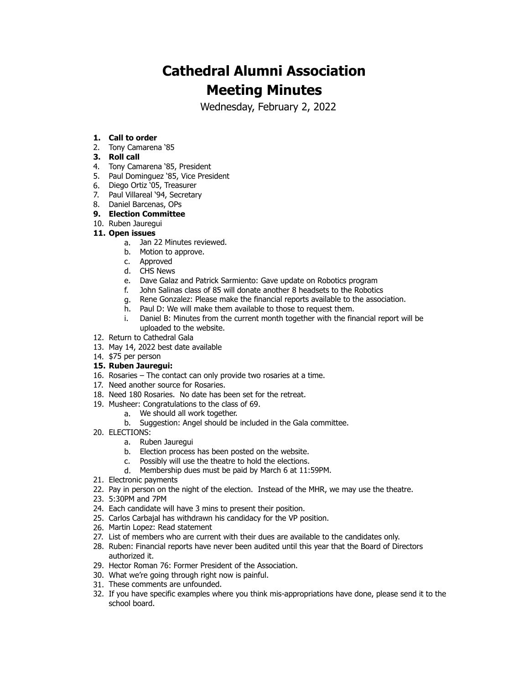# **Cathedral Alumni Association Meeting Minutes**

Wednesday, February 2, 2022

### **1. Call to order**

2. Tony Camarena '85

### **3. Roll call**

- 4. Tony Camarena '85, President
- 5. Paul Dominguez '85, Vice President
- 6. Diego Ortiz '05, Treasurer
- 7. Paul Villareal '94, Secretary
- 8. Daniel Barcenas, OPs
- **9. Election Committee**
- 10. Ruben Jauregui

#### **11. Open issues**

- a. Jan 22 Minutes reviewed.
- b. Motion to approve.
- c. Approved
- d. CHS News
- e. Dave Galaz and Patrick Sarmiento: Gave update on Robotics program
- f. John Salinas class of 85 will donate another 8 headsets to the Robotics
- g. Rene Gonzalez: Please make the financial reports available to the association.
- h. Paul D: We will make them available to those to request them.<br>i. Daniel B: Minutes from the current month together with the fin
- Daniel B: Minutes from the current month together with the financial report will be uploaded to the website.
- 12. Return to Cathedral Gala
- 13. May 14, 2022 best date available
- 14. \$75 per person
- **15. Ruben Jauregui:**
- 16. Rosaries The contact can only provide two rosaries at a time.
- 17. Need another source for Rosaries.
- 18. Need 180 Rosaries. No date has been set for the retreat.
- 19. Musheer: Congratulations to the class of 69.
	- a. We should all work together.
	- b. Suggestion: Angel should be included in the Gala committee.
- 20. ELECTIONS:
	- a. Ruben Jauregui
	- b. Election process has been posted on the website.
	- c. Possibly will use the theatre to hold the elections.
	- d. Membership dues must be paid by March 6 at 11:59PM.
- 21. Electronic payments
- 22. Pay in person on the night of the election. Instead of the MHR, we may use the theatre.
- 23. 5:30PM and 7PM
- 24. Each candidate will have 3 mins to present their position.
- 25. Carlos Carbajal has withdrawn his candidacy for the VP position.
- 26. Martin Lopez: Read statement
- 27. List of members who are current with their dues are available to the candidates only.
- 28. Ruben: Financial reports have never been audited until this year that the Board of Directors authorized it.
- 29. Hector Roman 76: Former President of the Association.
- 30. What we're going through right now is painful.
- 31. These comments are unfounded.
- 32. If you have specific examples where you think mis-appropriations have done, please send it to the school board.